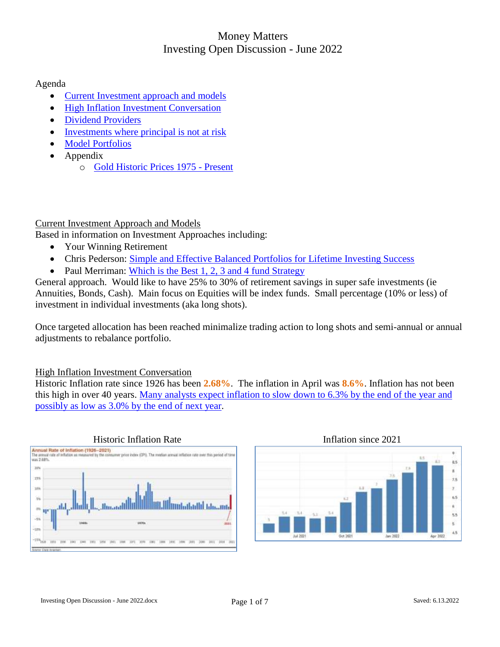#### Agenda

- [Current Investment approach and models](#page-0-0)
- [High Inflation Investment Conversation](#page-0-1)
- [Dividend Providers](#page-2-0)
- [Investments where principal is not at risk](#page-4-0)
- [Model Portfolios](#page-5-0)
- Appendix
	- o Gold Historic Prices 1975 Present

#### <span id="page-0-0"></span>Current Investment Approach and Models

Based in information on Investment Approaches including:

- Your Winning Retirement
- Chris Pederson: [Simple and Effective Balanced Portfolios for Lifetime Investing Success](https://artcentrics.com/13_MoneyMatters/Your_Winning_Retirement_Plan/AAII_Paul_Merriman_Best_1-4_Fund_Strategy_2020-09-23.pdf)
- Paul Merriman: [Which is the Best 1, 2, 3 and 4 fund Strategy](https://artcentrics.com/13_MoneyMatters/Your_Winning_Retirement_Plan/AAII_Paul_Merriman_Best_1-4_Fund_Strategy_2020-09-23.pdf)

General approach. Would like to have 25% to 30% of retirement savings in super safe investments (ie Annuities, Bonds, Cash). Main focus on Equities will be index funds. Small percentage (10% or less) of investment in individual investments (aka long shots).

Once targeted allocation has been reached minimalize trading action to long shots and semi-annual or annual adjustments to rebalance portfolio.

#### <span id="page-0-1"></span>High Inflation Investment Conversation

Historic Inflation rate since 1926 has been **2.68%**. The inflation in April was **8.6%**. Inflation has not been this high in over 40 years. [Many analysts expect inflation to slow down to 6.3% by the end of the year and](https://www.kiplinger.com/economic-forecasts/inflation)  [possibly as low as 3.0% by the end of next](https://www.kiplinger.com/economic-forecasts/inflation) year.



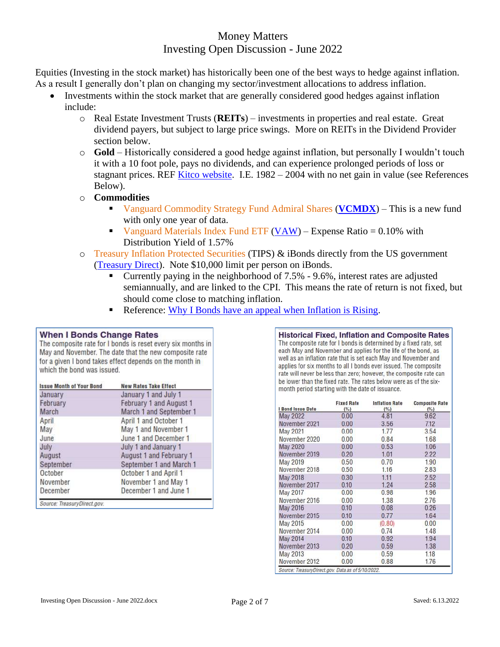Equities (Investing in the stock market) has historically been one of the best ways to hedge against inflation. As a result I generally don't plan on changing my sector/investment allocations to address inflation.

- Investments within the stock market that are generally considered good hedges against inflation include:
	- o Real Estate Investment Trusts (**REITs**) investments in properties and real estate. Great dividend payers, but subject to large price swings. More on REITs in the Dividend Provider section below.
	- o **Gold**  Historically considered a good hedge against inflation, but personally I wouldn't touch it with a 10 foot pole, pays no dividends, and can experience prolonged periods of loss or stagnant prices. REF [Kitco website.](https://www.kitco.com/) I.E. 1982 – 2004 with no net gain in value (see References Below).
	- o **Commodities**
		- Vanguard Commodity Strategy Fund Admiral Shares (**[VCMDX](https://investor.vanguard.com/mutual-funds/profile/VCMDX)**) This is a new fund with only one year of data.
		- Vanguard Materials Index Fund ETF [\(VAW\)](https://finance.yahoo.com/quote/VAW?p=VAW&.tsrc=fin-srch) Expense Ratio  $= 0.10\%$  with Distribution Yield of 1.57%
	- o Treasury Inflation Protected Securities (TIPS) & iBonds directly from the US government [\(Treasury Direct\)](https://www.treasurydirect.gov/indiv/products/prod_tips_glance.htm). Note \$10,000 limit per person on iBonds.
		- Currently paying in the neighborhood of 7.5% 9.6%, interest rates are adjusted semiannually, and are linked to the CPI. This means the rate of return is not fixed, but should come close to matching inflation.
		- Reference: [Why I Bonds have an appeal when Inflation is Rising.](https://www.aaii.com/journal/article/17411-why-i-bonds-have-appeal-when-inflation-is-rising)

#### **When I Bonds Change Rates**

The composite rate for I bonds is reset every six months in May and November. The date that the new composite rate for a given I bond takes effect depends on the month in which the bond was issued.

| <b>Issue Month of Your Bond</b> | <b>New Rates Take Effect</b>   |
|---------------------------------|--------------------------------|
| January                         | January 1 and July 1           |
| February                        | <b>February 1 and August 1</b> |
| March                           | March 1 and September 1        |
| April                           | April 1 and October 1          |
| May                             | May 1 and November 1           |
| June                            | June 1 and December 1          |
| July                            | July 1 and January 1           |
| August                          | August 1 and February 1        |
| September                       | September 1 and March 1        |
| October                         | October 1 and April 1          |
| November                        | November 1 and May 1           |
| December                        | December 1 and June 1          |

Source: TreasuryDirect.gov.

**Historical Fixed, Inflation and Composite Rates** The composite rate for I bonds is determined by a fixed rate, set each May and November and applies for the life of the bond, as well as an inflation rate that is set each May and November and applies for six months to all I bonds ever issued. The composite rate will never be less than zero; however, the composite rate can be lower than the fixed rate. The rates below were as of the sixmonth period starting with the date of issuance.

| <b>I Bond Issue Date</b> | <b>Fixed Rate</b><br>$($ %) | <b>Inflation Rate</b><br>(%) | <b>Composite Rate</b><br>(%) |
|--------------------------|-----------------------------|------------------------------|------------------------------|
| <b>May 2022</b>          | 0.00                        | 4.81                         | 9.62                         |
| November 2021            | 0.00                        | 3.56                         | 7.12                         |
| May 2021                 | 0.00                        | 1.77                         | 3.54                         |
| November 2020            | 0.00                        | 0.84                         | 1.68                         |
| <b>May 2020</b>          | 0.00                        | 0.53                         | 1.06                         |
| November 2019            | 0.20                        | 1.01                         | 2.22                         |
| May 2019                 | 0.50                        | 0.70                         | 1.90                         |
| November 2018            | 0.50                        | 1.16                         | 2.83                         |
| <b>May 2018</b>          | 0.30                        | 1.11                         | 2.52                         |
| November 2017            | 0.10                        | 1.24                         | 2.58                         |
| May 2017                 | 0.00                        | 0.98                         | 1.96                         |
| November 2016            | 0.00                        | 1.38                         | 2.76                         |
| May 2016                 | 0.10                        | 0.08                         | 0.26                         |
| November 2015            | 0.10                        | 0.77                         | 1.64                         |
| May 2015                 | 0.00                        | (0.80)                       | 0.00                         |
| November 2014            | 0.00                        | 0.74                         | 1.48                         |
| <b>May 2014</b>          | 0.10                        | 0.92                         | 1.94                         |
| November 2013            | 0.20                        | 0.59                         | 1.38                         |
| May 2013                 | 0.00                        | 0.59                         | 1.18                         |
| November 2012            | 0.00                        | 0.88                         | 1.76                         |

Source: TreasuryDirect.gov. Data as of 5/10/2022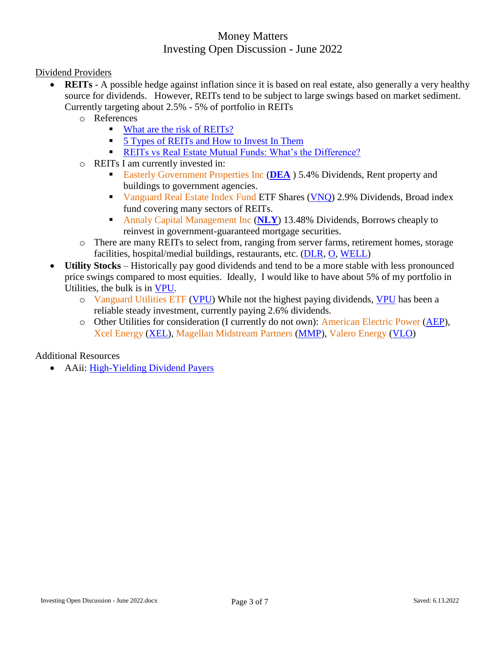<span id="page-2-0"></span>Dividend Providers

- **REITS** A possible hedge against inflation since it is based on real estate, also generally a very healthy source for dividends. However, REITs tend to be subject to large swings based on market sediment. Currently targeting about 2.5% - 5% of portfolio in REITs
	- o References
		- **[What are the risk of REITs?](https://www.investopedia.com/articles/investing/031915/what-are-risks-reits.asp)**
		- [5 Types of REITs and How to Invest In Them](https://www.investopedia.com/articles/mortgages-real-estate/10/real-estate-investment-trust-reit.asp)
		- [REITs vs Real Estate Mutual Funds: What's the Difference?](https://www.investopedia.com/articles/investing/040315/reits-versus-real-estate-mutual-funds.asp)
	- o REITs I am currently invested in:
		- Easterly Government Properties Inc ([DEA](https://finance.yahoo.com/quote/DEA?p=DEA)) 5.4% Dividends, Rent property and buildings to government agencies.
		- Vanguard Real Estate Index Fund ETF Shares [\(VNQ\)](https://investor.vanguard.com/etf/profile/VNQ) 2.9% Dividends, Broad index fund covering many sectors of REITs.
		- Annaly Capital Management Inc (**[NLY](https://finance.yahoo.com/quote/NLY?p=NLY&.tsrc=fin-srch)**) 13.48% Dividends, Borrows cheaply to reinvest in government-guaranteed mortgage securities.
	- o There are many REITs to select from, ranging from server farms, retirement homes, storage facilities, hospital/medial buildings, restaurants, etc. [\(DLR,](https://finance.yahoo.com/quote/DLR?p=DLR&.tsrc=fin-srch) [O,](https://finance.yahoo.com/quote/O?p=O&.tsrc=fin-srch) [WELL\)](https://finance.yahoo.com/quote/WELL?p=WELL&.tsrc=fin-srch)
- **Utility Stocks** Historically pay good dividends and tend to be a more stable with less pronounced price swings compared to most equities. Ideally, I would like to have about 5% of my portfolio in Utilities, the bulk is in [VPU.](https://finance.yahoo.com/quote/VPU?p=VPU&.tsrc=fin-srch)
	- o Vanguard Utilities ETF [\(VPU\)](https://finance.yahoo.com/quote/VPU?p=VPU&.tsrc=fin-srch) While not the highest paying dividends, [VPU](https://finance.yahoo.com/quote/VPU?p=VPU&.tsrc=fin-srch) has been a reliable steady investment, currently paying 2.6% dividends.
	- o Other Utilities for consideration (I currently do not own): American Electric Power [\(AEP\)](https://finance.yahoo.com/quote/AEP?p=AEP&.tsrc=fin-srch), Xcel Energy [\(XEL\)](https://finance.yahoo.com/quote/XEL?p=XEL&.tsrc=fin-srch), Magellan Midstream Partners [\(MMP\)](https://finance.yahoo.com/quote/MMP?p=MMP&.tsrc=fin-srch), Valero Energy [\(VLO\)](https://finance.yahoo.com/quote/VLO?p=VLO&.tsrc=fin-srch)

Additional Resources

AAii: [High-Yielding Dividend Payers](https://www.aaii.com/journal/article/17424-high-yielding-dividend-payers)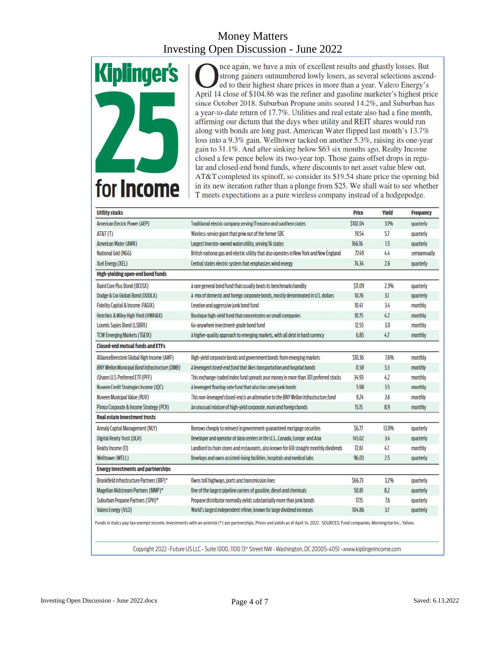

nce again, we have a mix of excellent results and ghastly losses. But strong gainers outnumbered lowly losers, as several selections ascended to their highest share prices in more than a year. Valero Energy's April 14 close of \$104.86 was the refiner and gasoline marketer's highest price since October 2018. Suburban Propane units soared 14.2%, and Suburban has a year-to-date return of 17.7%. Utilities and real estate also had a fine month, affirming our dictum that the days when utility and REIT shares would run along with bonds are long past. American Water flipped last month's 13.7% loss into a 9.3% gain. Welltower tacked on another 5.3%, raising its one-year gain to 31.1%. And after sinking below \$63 six months ago, Realty Income closed a few pence below its two-year top. Those gains offset drops in regular and closed-end bond funds, where discounts to net asset value blew out. AT&T completed its spinoff, so consider its \$19.54 share price the opening bid in its new iteration rather than a plunge from \$25. We shall wait to see whether T meets expectations as a pure wireless company instead of a hodgepodge.

| <b>Utility stocks</b>                          |                                                                                                                                                                                                                                                                                                                            | Price    | Yleld | Frequency    |
|------------------------------------------------|----------------------------------------------------------------------------------------------------------------------------------------------------------------------------------------------------------------------------------------------------------------------------------------------------------------------------|----------|-------|--------------|
| American Electric Power (AEP)                  | Traditional electric company serving II eastern and southern states                                                                                                                                                                                                                                                        | \$102.04 | 3.1%  | quarterly    |
| AT&T(T)                                        | Wireless-service giant that grew out of the former SBC                                                                                                                                                                                                                                                                     | 19.54    | 5.7   | quarterly    |
| American Water (AWK)                           | Largest investor-owned water utility, serving 16 states                                                                                                                                                                                                                                                                    | 166.16   | 15    | quarterly    |
| National Grid (NGG)                            | British national gas and electric utility that also operates in New York and New England                                                                                                                                                                                                                                   | T1.49    | 4.4   | semiannually |
| Xcel Energy (XEL)                              | Central states electric system that emphasizes wind energy                                                                                                                                                                                                                                                                 | 74.34    | 26    | quarterly    |
| High-yielding open-end bond funds              |                                                                                                                                                                                                                                                                                                                            |          |       |              |
| Baird Core Plus Bond (BCOSX)                   | A rare general bond fund that usually beats its benchmarks handily                                                                                                                                                                                                                                                         | \$11.09  | 2.3%  | quarterly    |
| Dodge & Cox Global Bond (DODLX)                | A mix of domestic and foreign corporate bonds, mostly denominated in U.S. dollars                                                                                                                                                                                                                                          | 10.76    | 31    | quarterly    |
| Fidelity Capital & Income (FAGIX)              | Creative and aggressive junk bond fund                                                                                                                                                                                                                                                                                     | 10.41    | 3.4   | monthly      |
| Hotchkis & Wiley High Yield (HWHAX)            | Boutique high-yield fund that concentrates on small companies                                                                                                                                                                                                                                                              | 10.75    | 4.2   | monthly      |
| Loomis Sayles Bond (LSBRX)                     | Go-anywhere investment-grade bond fund                                                                                                                                                                                                                                                                                     | 12.55    | 3.0   | monthly      |
| <b>TCW Emerging Markets (TGEIX)</b>            | A higher-quality approach to emerging markets, with all debt in hard currency                                                                                                                                                                                                                                              | 6.85     | 4.7   | monthly      |
| <b>Closed-end mutual funds and ETFs</b>        |                                                                                                                                                                                                                                                                                                                            |          |       |              |
| AllianceBernstein Global High Income (AWF)     | High-yield corporate bonds and government bonds from emerging markets                                                                                                                                                                                                                                                      | \$10.36  | 7.6%  | monthly      |
| BNY Mellon Municipal Bond Infrastructure (DMB) | A leveraged closed-end fund that likes transportation and hospital bonds                                                                                                                                                                                                                                                   | 11.58    | 5.5   | monthly      |
| iShares U.S. Preferred ETF (PFF)               | This exchange-traded index fund spreads your money in more than 301 preferred stocks                                                                                                                                                                                                                                       |          | 4.2   | monthly      |
| Nuveen Credit Strategies Income (JQC)          | A leveraged floating-rate fund that also has some junk bonds                                                                                                                                                                                                                                                               | 5.98     | 3.5   | monthly      |
| Nuveen Municipal Value (NUV)                   | This non-leveraged closed-end is an alternative to the BNY Mellon Infrastructure fund                                                                                                                                                                                                                                      | 9.24     | 3.6   | monthly      |
| Pimco Corporate & Income Strategy (PCN)        | An unusual mixture of high-yield corporate, muni and foreign bonds                                                                                                                                                                                                                                                         | 15.15    | 8.9   | monthly      |
| <b>Real estate Investment trusts</b>           |                                                                                                                                                                                                                                                                                                                            |          |       |              |
| Annaly Capital Management (NLY)                | Borrows cheaply to reinvest in government-guaranteed mortgage securities                                                                                                                                                                                                                                                   | \$6.77   | 13.0% | quarterly    |
| <b>Digital Realty Trust (DLR)</b>              | Developer and operator of data centers in the U.S., Canada, Europe and Asia                                                                                                                                                                                                                                                | 145.02   | 3.4   | quarterly    |
| Realty Income (0)                              | Landlord to chain stores and restaurants, also known for 618 straight monthly dividends                                                                                                                                                                                                                                    | 72.61    | 4.1   | monthly      |
| <b>Welltower (WELL)</b>                        | Develops and owns assisted-living facilities, hospitals and medical labs                                                                                                                                                                                                                                                   | 96.03    | 25    | quarterly    |
| <b>Energy investments and partnerships</b>     |                                                                                                                                                                                                                                                                                                                            |          |       |              |
| Brookfield Infrastructure Partners (BIP)*      | Owns toll highways, ports and transmission lines                                                                                                                                                                                                                                                                           | \$66.73  | 3.2%  | quarterly    |
| Magelian Midstream Partners (MMP)*             | One of the largest pipeline carriers of gasoline, diesel and chemicals                                                                                                                                                                                                                                                     | 50.81    | 8.2   | quarterly    |
| Suburban Propane Partners (SPH)*               | Propane distributor normally yields substantially more than junk bonds                                                                                                                                                                                                                                                     | 17.15    | 7.6   | quarterly    |
| Valero Energy (VLO)                            | World's largest independent refiner, known for large dividend increases                                                                                                                                                                                                                                                    | 104.86   | 37    | quarterly    |
|                                                | Funds in italics pay tax-exempt income. Investments with an asterisk (*) are partnerships. Prices and yields as of April 14, 2022. SOURCES: Fund companies, Morningstar Inc., Yahoo.<br>Copyright 2022 · Future US LLC · Suite 1000, 1100 13 <sup>th</sup> Street NW · Washington, DC 20005-4051 · www.kiplingerincome.com |          |       |              |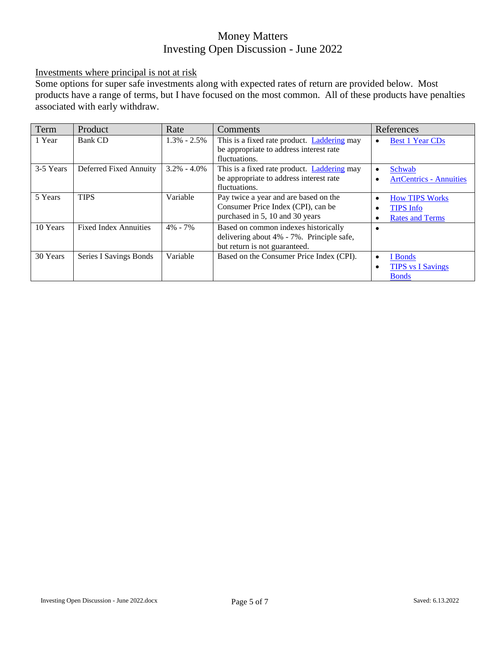<span id="page-4-0"></span>Investments where principal is not at risk

Some options for super safe investments along with expected rates of return are provided below. Most products have a range of terms, but I have focused on the most common. All of these products have penalties associated with early withdraw.

| Term      | Product                       | Rate            | Comments                                                                                                           | References                                                                                         |
|-----------|-------------------------------|-----------------|--------------------------------------------------------------------------------------------------------------------|----------------------------------------------------------------------------------------------------|
| 1 Year    | Bank CD                       | $1.3\% - 2.5\%$ | This is a fixed rate product. Laddering may<br>be appropriate to address interest rate<br>fluctuations.            | <b>Best 1 Year CDs</b><br>$\bullet$                                                                |
| 3-5 Years | Deferred Fixed Annuity        | $3.2\% - 4.0\%$ | This is a fixed rate product. Laddering may<br>be appropriate to address interest rate<br>fluctuations.            | Schwab<br>$\bullet$<br><b>ArtCentrics - Annuities</b><br>$\bullet$                                 |
| 5 Years   | <b>TIPS</b>                   | Variable        | Pay twice a year and are based on the<br>Consumer Price Index (CPI), can be<br>purchased in 5, 10 and 30 years     | <b>How TIPS Works</b><br>$\bullet$<br><b>TIPS</b> Info<br>$\bullet$<br><b>Rates and Terms</b><br>٠ |
| 10 Years  | <b>Fixed Index Annuities</b>  | $4\% - 7\%$     | Based on common indexes historically<br>delivering about 4% - 7%. Principle safe,<br>but return is not guaranteed. | $\bullet$                                                                                          |
| 30 Years  | <b>Series I Savings Bonds</b> | Variable        | Based on the Consumer Price Index (CPI).                                                                           | I Bonds<br>$\bullet$<br><b>TIPS</b> vs I Savings<br>$\bullet$<br><b>Bonds</b>                      |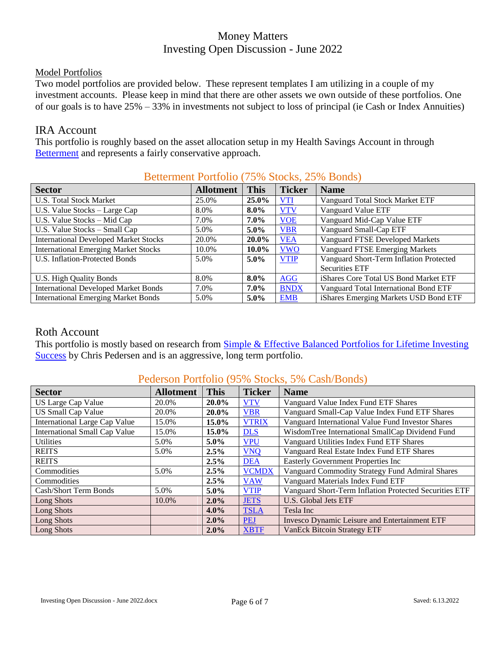#### <span id="page-5-0"></span>Model Portfolios

Two model portfolios are provided below. These represent templates I am utilizing in a couple of my investment accounts. Please keep in mind that there are other assets we own outside of these portfolios. One of our goals is to have 25% – 33% in investments not subject to loss of principal (ie Cash or Index Annuities)

#### IRA Account

This portfolio is roughly based on the asset allocation setup in my Health Savings Account in through [Betterment](https://www.betterment.com/) and represents a fairly conservative approach.

|                                              |                  |             | Betterment Portfolio (19% Stocks, 29% Bonds) |                                         |  |  |
|----------------------------------------------|------------------|-------------|----------------------------------------------|-----------------------------------------|--|--|
| <b>Sector</b>                                | <b>Allotment</b> | <b>This</b> | <b>Ticker</b>                                | <b>Name</b>                             |  |  |
| <b>U.S. Total Stock Market</b>               | 25.0%            | $25.0\%$    | VTI                                          | Vanguard Total Stock Market ETF         |  |  |
| U.S. Value Stocks - Large Cap                | 8.0%             | $8.0\%$     | <b>VTV</b>                                   | Vanguard Value ETF                      |  |  |
| U.S. Value Stocks – Mid Cap                  | 7.0%             | $7.0\%$     | <b>VOE</b>                                   | Vanguard Mid-Cap Value ETF              |  |  |
| U.S. Value Stocks – Small Cap                | 5.0%             | $5.0\%$     | <b>VBR</b>                                   | Vanguard Small-Cap ETF                  |  |  |
| <b>International Developed Market Stocks</b> | 20.0%            | 20.0%       | <b>VEA</b>                                   | Vanguard FTSE Developed Markets         |  |  |
| <b>International Emerging Market Stocks</b>  | 10.0%            | $10.0\%$    | <b>VWO</b>                                   | <b>Vanguard FTSE Emerging Markets</b>   |  |  |
| U.S. Inflation-Protected Bonds               | 5.0%             | $5.0\%$     | <b>VTIP</b>                                  | Vanguard Short-Term Inflation Protected |  |  |
|                                              |                  |             |                                              | <b>Securities ETF</b>                   |  |  |
| U.S. High Quality Bonds                      | 8.0%             | $8.0\%$     | <b>AGG</b>                                   | iShares Core Total US Bond Market ETF   |  |  |
| <b>International Developed Market Bonds</b>  | 7.0%             | $7.0\%$     | <b>BNDX</b>                                  | Vanguard Total International Bond ETF   |  |  |
| <b>International Emerging Market Bonds</b>   | 5.0%             | $5.0\%$     | <b>EMB</b>                                   | iShares Emerging Markets USD Bond ETF   |  |  |

## Betterment Portfolio (75% Stocks, 25% Bonds)

### Roth Account

This portfolio is mostly based on research from Simple & Effective Balanced Portfolios for Lifetime Investing [Success](https://www.artcentrics.com/13_MoneyMatters/Your_Winning_Retirement_Plan/AAII_Chris_Pedersen_Simple_Balanced_Portfolios_2020-10-22.pdf) by Chris Pedersen and is an aggressive, long term portfolio.

| Pederson Portfolio (95% Stocks, 5% Cash/Bonds) |                  |             |               |                                                        |  |
|------------------------------------------------|------------------|-------------|---------------|--------------------------------------------------------|--|
| <b>Sector</b>                                  | <b>Allotment</b> | <b>This</b> | <b>Ticker</b> | <b>Name</b>                                            |  |
| US Large Cap Value                             | 20.0%            | 20.0%       | <b>VTV</b>    | Vanguard Value Index Fund ETF Shares                   |  |
| <b>US Small Cap Value</b>                      | 20.0%            | 20.0%       | <b>VBR</b>    | Vanguard Small-Cap Value Index Fund ETF Shares         |  |
| International Large Cap Value                  | 15.0%            | $15.0\%$    | <b>VTRIX</b>  | Vanguard International Value Fund Investor Shares      |  |
| <b>International Small Cap Value</b>           | 15.0%            | 15.0%       | <b>DLS</b>    | WisdomTree International SmallCap Dividend Fund        |  |
| <b>Utilities</b>                               | 5.0%             | $5.0\%$     | <b>VPU</b>    | Vanguard Utilities Index Fund ETF Shares               |  |
| <b>REITS</b>                                   | 5.0%             | 2.5%        | <b>VNQ</b>    | Vanguard Real Estate Index Fund ETF Shares             |  |
| <b>REITS</b>                                   |                  | 2.5%        | <b>DEA</b>    | <b>Easterly Government Properties Inc</b>              |  |
| Commodities                                    | 5.0%             | 2.5%        | <b>VCMDX</b>  | Vanguard Commodity Strategy Fund Admiral Shares        |  |
| Commodities                                    |                  | $2.5\%$     | <b>VAW</b>    | Vanguard Materials Index Fund ETF                      |  |
| Cash/Short Term Bonds                          | 5.0%             | $5.0\%$     | <b>VTIP</b>   | Vanguard Short-Term Inflation Protected Securities ETF |  |
| Long Shots                                     | 10.0%            | $2.0\%$     | <b>JETS</b>   | <b>U.S. Global Jets ETF</b>                            |  |
| Long Shots                                     |                  | $4.0\%$     | <b>TSLA</b>   | Tesla Inc                                              |  |
| Long Shots                                     |                  | $2.0\%$     | <b>PEJ</b>    | Invesco Dynamic Leisure and Entertainment ETF          |  |
| Long Shots                                     |                  | $2.0\%$     | <b>XBTF</b>   | <b>VanEck Bitcoin Strategy ETF</b>                     |  |

# $D_{\text{c}}$   $\#$   $\mathcal{L}$   $\mathcal{L}$   $\mathcal{L}$   $\mathcal{L}$   $\mathcal{L}$   $\mathcal{L}$   $\mathcal{L}$   $\mathcal{L}$   $\mathcal{L}$   $\mathcal{L}$   $\mathcal{L}$   $\mathcal{L}$   $\mathcal{L}$   $\mathcal{L}$   $\mathcal{L}$   $\mathcal{L}$   $\mathcal{L}$   $\mathcal{L}$   $\mathcal{L}$   $\mathcal{L}$   $\mathcal{L}$   $\mathcal{L}$   $\mathcal{L}$